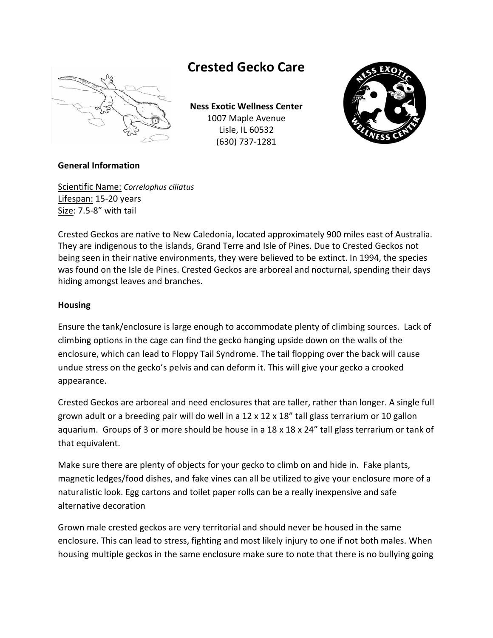

# **Crested Gecko Care**

**Ness Exotic Wellness Center**  1007 Maple Avenue Lisle, IL 60532 (630) 737-1281



# **General Information**

Scientific Name: *Correlophus ciliatus* Lifespan: 15-20 years Size: 7.5-8" with tail

Crested Geckos are native to New Caledonia, located approximately 900 miles east of Australia. They are indigenous to the islands, Grand Terre and Isle of Pines. Due to Crested Geckos not being seen in their native environments, they were believed to be extinct. In 1994, the species was found on the Isle de Pines. Crested Geckos are arboreal and nocturnal, spending their days hiding amongst leaves and branches.

## **Housing**

Ensure the tank/enclosure is large enough to accommodate plenty of climbing sources. Lack of climbing options in the cage can find the gecko hanging upside down on the walls of the enclosure, which can lead to Floppy Tail Syndrome. The tail flopping over the back will cause undue stress on the gecko's pelvis and can deform it. This will give your gecko a crooked appearance.

Crested Geckos are arboreal and need enclosures that are taller, rather than longer. A single full grown adult or a breeding pair will do well in a 12 x 12 x 18" tall glass terrarium or 10 gallon aquarium. Groups of 3 or more should be house in a 18 x 18 x 24" tall glass terrarium or tank of that equivalent.

Make sure there are plenty of objects for your gecko to climb on and hide in. Fake plants, magnetic ledges/food dishes, and fake vines can all be utilized to give your enclosure more of a naturalistic look. Egg cartons and toilet paper rolls can be a really inexpensive and safe alternative decoration

Grown male crested geckos are very territorial and should never be housed in the same enclosure. This can lead to stress, fighting and most likely injury to one if not both males. When housing multiple geckos in the same enclosure make sure to note that there is no bullying going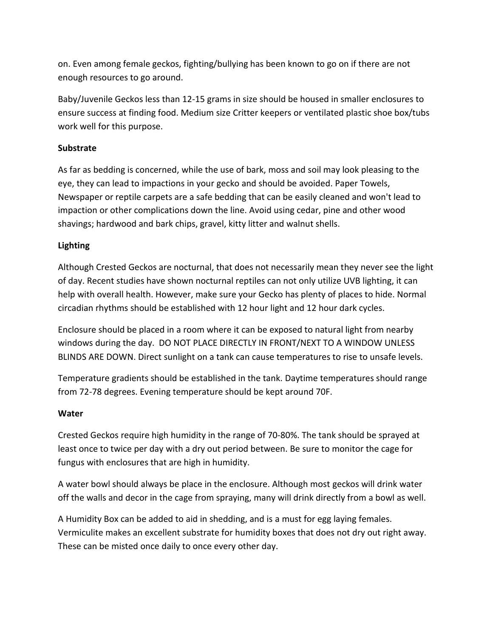on. Even among female geckos, fighting/bullying has been known to go on if there are not enough resources to go around.

Baby/Juvenile Geckos less than 12-15 grams in size should be housed in smaller enclosures to ensure success at finding food. Medium size Critter keepers or ventilated plastic shoe box/tubs work well for this purpose.

# **Substrate**

As far as bedding is concerned, while the use of bark, moss and soil may look pleasing to the eye, they can lead to impactions in your gecko and should be avoided. Paper Towels, Newspaper or reptile carpets are a safe bedding that can be easily cleaned and won't lead to impaction or other complications down the line. Avoid using cedar, pine and other wood shavings; hardwood and bark chips, gravel, kitty litter and walnut shells.

# **Lighting**

Although Crested Geckos are nocturnal, that does not necessarily mean they never see the light of day. Recent studies have shown nocturnal reptiles can not only utilize UVB lighting, it can help with overall health. However, make sure your Gecko has plenty of places to hide. Normal circadian rhythms should be established with 12 hour light and 12 hour dark cycles.

Enclosure should be placed in a room where it can be exposed to natural light from nearby windows during the day. DO NOT PLACE DIRECTLY IN FRONT/NEXT TO A WINDOW UNLESS BLINDS ARE DOWN. Direct sunlight on a tank can cause temperatures to rise to unsafe levels.

Temperature gradients should be established in the tank. Daytime temperatures should range from 72-78 degrees. Evening temperature should be kept around 70F.

## **Water**

Crested Geckos require high humidity in the range of 70-80%. The tank should be sprayed at least once to twice per day with a dry out period between. Be sure to monitor the cage for fungus with enclosures that are high in humidity.

A water bowl should always be place in the enclosure. Although most geckos will drink water off the walls and decor in the cage from spraying, many will drink directly from a bowl as well.

A Humidity Box can be added to aid in shedding, and is a must for egg laying females. Vermiculite makes an excellent substrate for humidity boxes that does not dry out right away. These can be misted once daily to once every other day.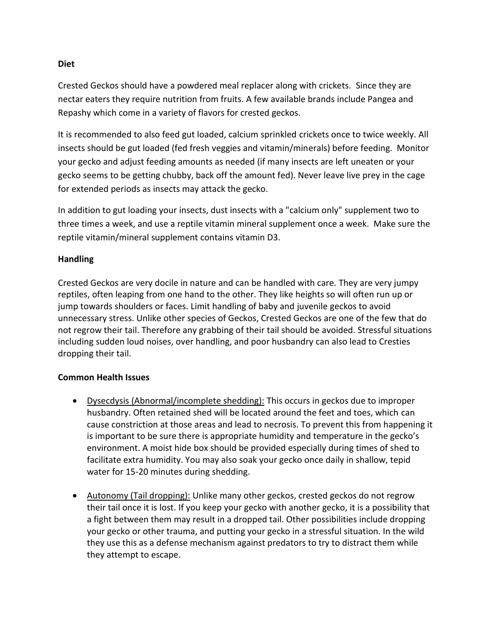#### **Diet**

Crested Geckos should have a powdered meal replacer along with crickets. Since they are nectar eaters they require nutrition from fruits. A few available brands include Pangea and Repashy which come in a variety of flavors for crested geckos.

It is recommended to also feed gut loaded, calcium sprinkled crickets once to twice weekly. All insects should be gut loaded (fed fresh veggies and vitamin/minerals) before feeding. Monitor your gecko and adjust feeding amounts as needed (if many insects are left uneaten or your gecko seems to be getting chubby, back off the amount fed). Never leave live prey in the cage for extended periods as insects may attack the gecko.

In addition to gut loading your insects, dust insects with a "calcium only" supplement two to three times a week, and use a reptile vitamin mineral supplement once a week. Make sure the reptile vitamin/mineral supplement contains vitamin D3.

## **Handling**

Crested Geckos are very docile in nature and can be handled with care. They are very jumpy reptiles, often leaping from one hand to the other. They like heights so will often run up or jump towards shoulders or faces. Limit handling of baby and juvenile geckos to avoid unnecessary stress. Unlike other species of Geckos, Crested Geckos are one of the few that do not regrow their tail. Therefore any grabbing of their tail should be avoided. Stressful situations including sudden loud noises, over handling, and poor husbandry can also lead to Cresties dropping their tail.

## **Common Health Issues**

- Dysecdysis (Abnormal/incomplete shedding): This occurs in geckos due to improper husbandry. Often retained shed will be located around the feet and toes, which can cause constriction at those areas and lead to necrosis. To prevent this from happening it is important to be sure there is appropriate humidity and temperature in the gecko's environment. A moist hide box should be provided especially during times of shed to facilitate extra humidity. You may also soak your gecko once daily in shallow, tepid water for 15-20 minutes during shedding.
- Autonomy (Tail dropping): Unlike many other geckos, crested geckos do not regrow their tail once it is lost. If you keep your gecko with another gecko, it is a possibility that a fight between them may result in a dropped tail. Other possibilities include dropping your gecko or other trauma, and putting your gecko in a stressful situation. In the wild they use this as a defense mechanism against predators to try to distract them while they attempt to escape.